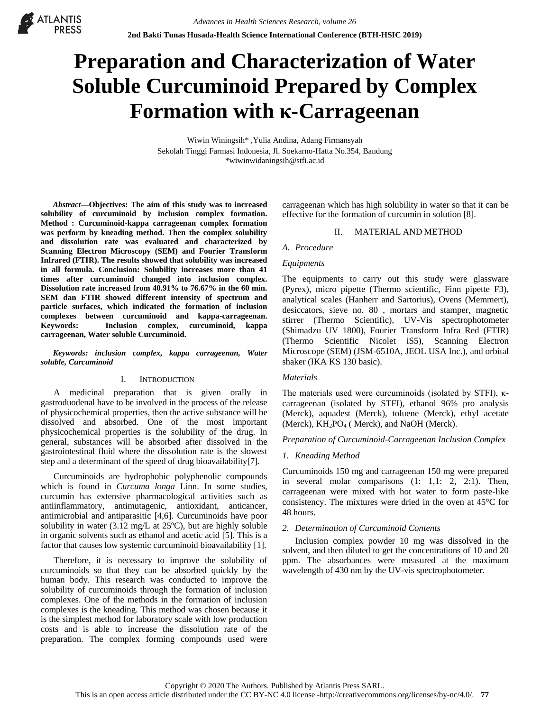# **Preparation and Characterization of Water Soluble Curcuminoid Prepared by Complex Formation with κ-Carrageenan**

Wiwin Winingsih\* ,Yulia Andina, Adang Firmansyah Sekolah Tinggi Farmasi Indonesia, Jl. Soekarno-Hatta No.354, Bandung \*wiwinwidaningsih@stfi.ac.id

*Abstract***—Objectives: The aim of this study was to increased solubility of curcuminoid by inclusion complex formation. Method : Curcuminoid-kappa carrageenan complex formation was perform by kneading method. Then the complex solubility and dissolution rate was evaluated and characterized by Scanning Electron Microscopy (SEM) and Fourier Transform Infrared (FTIR). The results showed that solubility was increased in all formula. Conclusion: Solubility increases more than 41 times after curcuminoid changed into inclusion complex. Dissolution rate increased from 40.91% to 76.67% in the 60 min. SEM dan FTIR showed different intensity of spectrum and particle surfaces, which indicated the formation of inclusion complexes between curcuminoid and kappa-carrageenan. Keywords: Inclusion complex, curcuminoid, kappa carrageenan, Water soluble Curcuminoid.** 

**ATLANTIS** 

*Keywords: inclusion complex, kappa carrageenan, Water soluble, Curcuminoid* 

#### I. INTRODUCTION

A medicinal preparation that is given orally in gastroduodenal have to be involved in the process of the release of physicochemical properties, then the active substance will be dissolved and absorbed. One of the most important physicochemical properties is the solubility of the drug. In general, substances will be absorbed after dissolved in the gastrointestinal fluid where the dissolution rate is the slowest step and a determinant of the speed of drug bioavailability[7].

Curcuminoids are hydrophobic polyphenolic compounds which is found in *Curcuma longa* Linn. In some studies, curcumin has extensive pharmacological activities such as antiinflammatory, antimutagenic, antioxidant, anticancer, antimicrobial and antiparasitic [4,6]. Curcuminoids have poor solubility in water (3.12 mg/L at 25ºC), but are highly soluble in organic solvents such as ethanol and acetic acid [5]. This is a factor that causes low systemic curcuminoid bioavailability [1].

Therefore, it is necessary to improve the solubility of curcuminoids so that they can be absorbed quickly by the human body. This research was conducted to improve the solubility of curcuminoids through the formation of inclusion complexes. One of the methods in the formation of inclusion complexes is the kneading. This method was chosen because it is the simplest method for laboratory scale with low production costs and is able to increase the dissolution rate of the preparation. The complex forming compounds used were

carrageenan which has high solubility in water so that it can be effective for the formation of curcumin in solution [8].

#### II. MATERIAL AND METHOD

#### *A. Procedure*

#### *Equipments*

The equipments to carry out this study were glassware (Pyrex), micro pipette (Thermo scientific, Finn pipette F3), analytical scales (Hanherr and Sartorius), Ovens (Memmert), desiccators, sieve no. 80 , mortars and stamper, magnetic stirrer (Thermo Scientific), UV-Vis spectrophotometer (Shimadzu UV 1800), Fourier Transform Infra Red (FTIR) (Thermo Scientific Nicolet iS5), Scanning Electron Microscope (SEM) (JSM-6510A, JEOL USA Inc.), and orbital shaker (IKA KS 130 basic).

## *Materials*

The materials used were curcuminoids (isolated by STFI), κcarrageenan (isolated by STFI), ethanol 96% pro analysis (Merck), aquadest (Merck), toluene (Merck), ethyl acetate (Merck), KH<sub>2</sub>PO<sub>4</sub> (Merck), and NaOH (Merck).

#### *Preparation of Curcuminoid-Carrageenan Inclusion Complex*

## *1. Kneading Method*

Curcuminoids 150 mg and carrageenan 150 mg were prepared in several molar comparisons (1: 1,1: 2, 2:1). Then, carrageenan were mixed with hot water to form paste-like consistency. The mixtures were dried in the oven at 45°C for 48 hours.

## *2. Determination of Curcuminoid Contents*

Inclusion complex powder 10 mg was dissolved in the solvent, and then diluted to get the concentrations of 10 and 20 ppm. The absorbances were measured at the maximum wavelength of 430 nm by the UV-vis spectrophotometer.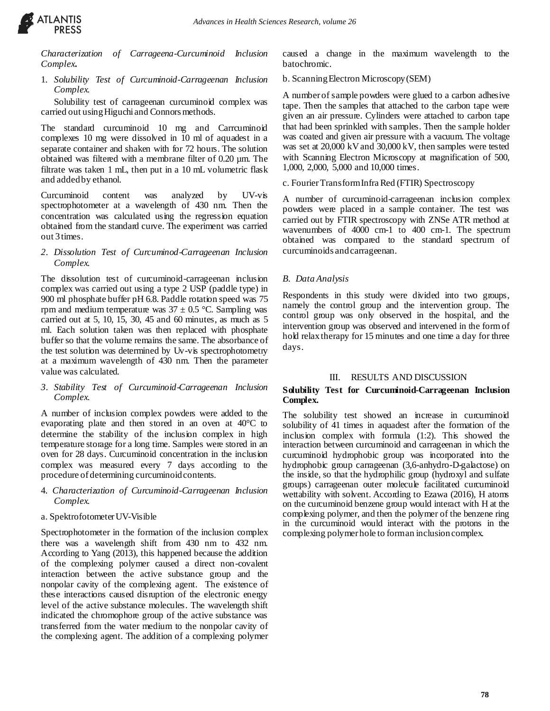

*Characterization of Carrageena-Curcuminoid Inclusion Complex***.** 

1. *Solubility Test of Curcuminoid-Carrageenan Inclusion Complex.*

Solubility test of carrageenan curcuminoid complex was carried out using Higuchi and Connors methods.

The standard curcuminoid 10 mg and Carrcuminoid complexes 10 mg were dissolved in 10 ml of aquadest in a separate container and shaken with for 72 hours. The solution obtained was filtered with a membrane filter of 0.20 µm. The filtrate was taken 1 mL, then put in a 10 mL volumetric flask and added by ethanol.

Curcuminoid content was analyzed by UV-vis spectrophotometer at a wavelength of 430 nm. Then the concentration was calculated using the regression equation obtained from the standard curve. The experiment was carried out 3 times.

*2. Dissolution Test of Curcuminod-Carrageenan Inclusion Complex.*

The dissolution test of curcuminoid-carrageenan inclusion complex was carried out using a type 2 USP (paddle type) in 900 ml phosphate buffer pH 6.8. Paddle rotation speed was 75 rpm and medium temperature was  $37 \pm 0.5$  °C. Sampling was carried out at 5, 10, 15, 30, 45 and 60 minutes, as much as 5 ml. Each solution taken was then replaced with phosphate buffer so that the volume remains the same. The absorbance of the test solution was determined by Uv-vis spectrophotometry at a maximum wavelength of 430 nm. Then the parameter value was calculated.

*3. Stability Test of Curcuminoid-Carrageenan Inclusion Complex.*

A number of inclusion complex powders were added to the evaporating plate and then stored in an oven at 40°C to determine the stability of the inclusion complex in high temperature storage for a long time. Samples were stored in an oven for 28 days. Curcuminoid concentration in the inclusion complex was measured every 7 days according to the procedure of determining curcuminoid contents.

4. *Characterization of Curcuminoid-Carrageenan Inclusion Complex.*

## a. Spektrofotometer UV-Visible

Spectrophotometer in the formation of the inclusion complex there was a wavelength shift from 430 nm to 432 nm. According to Yang (2013), this happened because the addition of the complexing polymer caused a direct non-covalent interaction between the active substance group and the nonpolar cavity of the complexing agent. The existence of these interactions caused disruption of the electronic energy level of the active substance molecules. The wavelength shift indicated the chromophore group of the active substance was transferred from the water medium to the nonpolar cavity of the complexing agent. The addition of a complexing polymer caused a change in the maximum wavelength to the batochromic.

# b. Scanning Electron Microscopy (SEM)

A number of sample powders were glued to a carbon adhesive tape. Then the samples that attached to the carbon tape were given an air pressure*.* Cylinders were attached to carbon tape that had been sprinkled with samples. Then the sample holder was coated and given air pressure with a vacuum. The voltage was set at 20,000 kV and 30,000 kV, then samples were tested with Scanning Electron Microscopy at magnification of 500, 1,000, 2,000, 5,000 and 10,000 times.

c. Fourier Transform Infra Red (FTIR) Spectroscopy

A number of curcuminoid-carrageenan inclusion complex powders were placed in a sample container. The test was carried out by FTIR spectroscopy with ZNSe ATR method at wavenumbers of 4000 cm-1 to 400 cm-1. The spectrum obtained was compared to the standard spectrum of curcuminoids and carrageenan.

# *B. Data Analysis*

Respondents in this study were divided into two groups, namely the control group and the intervention group. The control group was only observed in the hospital, and the intervention group was observed and intervened in the form of hold relax therapy for 15 minutes and one time a day for three days.

# III. RESULTS AND DISCUSSION

# **Solubility Test for Curcuminoid-Carrageenan Inclusion Complex.**

The solubility test showed an increase in curcuminoid solubility of 41 times in aquadest after the formation of the inclusion complex with formula (1:2). This showed the interaction between curcuminoid and carrageenan in which the curcuminoid hydrophobic group was incorporated into the hydrophobic group carrageenan (3,6-anhydro-D-galactose) on the inside, so that the hydrophilic group (hydroxyl and sulfate groups) carrageenan outer molecule facilitated curcuminoid wettability with solvent. According to Ezawa (2016), H atoms on the curcuminoid benzene group would interact with H at the complexing polymer, and then the polymer of the benzene ring in the curcuminoid would interact with the protons in the complexing polymer hole to form an inclusion complex.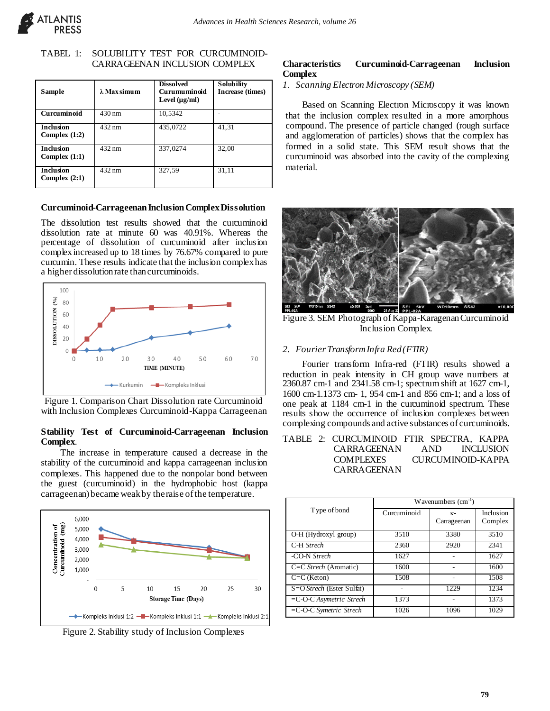

## TABEL 1: SOLUBILITY TEST FOR CURCUMINOID-CARRAGEENAN INCLUSION COMPLEX

| <b>Sample</b>                       | $\lambda$ Max simum | <b>Dissolved</b><br>Curumuminoid<br>Level $(\mu g/ml)$ | Solubility<br>Increase (times) |
|-------------------------------------|---------------------|--------------------------------------------------------|--------------------------------|
| Curcuminoid                         | $430 \text{ nm}$    | 10,5342                                                |                                |
| <b>Inclusion</b><br>Complex $(1:2)$ | $\overline{432}$ nm | 435,0722                                               | 41,31                          |
| <b>Inclusion</b><br>Complex $(1:1)$ | $432 \text{ nm}$    | 337,0274                                               | 32,00                          |
| <b>Inclusion</b><br>Complex $(2:1)$ | $432 \text{ nm}$    | 327,59                                                 | 31,11                          |

# **Curcuminoid-Carrageenan Inclusion Complex Dissolution**

The dissolution test results showed that the curcuminoid dissolution rate at minute 60 was 40.91%. Whereas the percentage of dissolution of curcuminoid after inclusion complex increased up to 18 times by 76.67% compared to pure curcumin. These results indicate that the inclusion complex has a higher dissolution rate than curcuminoids.



Figure 1. Comparison Chart Dissolution rate Curcuminoid with Inclusion Complexes Curcuminoid-Kappa Carrageenan

# **Stability Test of Curcuminoid-Carrageenan Inclusion Complex**.

The increase in temperature caused a decrease in the stability of the curcuminoid and kappa carrageenan inclusion complexes. This happened due to the nonpolar bond between the guest (curcuminoid) in the hydrophobic host (kappa carrageenan) became weak by the raise of the temperature.



Figure 2. Stability study of Inclusion Complexes

## **Characteristics Curcuminoid-Carrageenan Inclusion Complex**

*1. Scanning Electron Microscopy (SEM)*

Based on Scanning Electron Microscopy it was known that the inclusion complex resulted in a more amorphous compound. The presence of particle changed (rough surface and agglomeration of particles) shows that the complex has formed in a solid state. This SEM result shows that the curcuminoid was absorbed into the cavity of the complexing material.



Figure 3. SEM Photograph of Kappa-Karagenan Curcuminoid Inclusion Complex.

# *2. Fourier Transform Infra Red (FTIR)*

Fourier transform Infra-red (FTIR) results showed a reduction in peak intensity in CH group wave numbers at 2360.87 cm-1 and 2341.58 cm-1; spectrum shift at 1627 cm-1, 1600 cm-1.1373 cm- 1, 954 cm-1 and 856 cm-1; and a loss of one peak at 1184 cm-1 in the curcuminoid spectrum. These results show the occurrence of inclusion complexes between complexing compounds and active substances of curcuminoids.

# TABLE 2: CURCUMINOID FTIR SPECTRA, KAPPA CARRAGEENAN AND INCLUSION COMPLEXES CURCUMINOID-KAPPA CARRAGEENAN

|                            | $\overline{W}$ avenumbers (cm <sup>-1</sup> ) |                     |                      |
|----------------------------|-----------------------------------------------|---------------------|----------------------|
| Type of bond               | Curcuminoid                                   | $K-$<br>Carrageenan | Inclusion<br>Complex |
| O-H (Hydroxyl group)       | 3510                                          | 3380                | 3510                 |
| C-H Strech                 | 2360                                          | 2920                | 2341                 |
| -CO-N Strech               | 1627                                          |                     | 1627                 |
| C=C Strech (Aromatic)      | 1600                                          |                     | 1600                 |
| $C=C$ (Keton)              | 1508                                          |                     | 1508                 |
| S=O Strech (Ester Sulfat)  |                                               | 1229                | 1234                 |
| $=C$ -O-C Asymetric Strech | 1373                                          |                     | 1373                 |
| $=C$ -O-C Symetric Strech  | 1026                                          | 1096                | 1029                 |